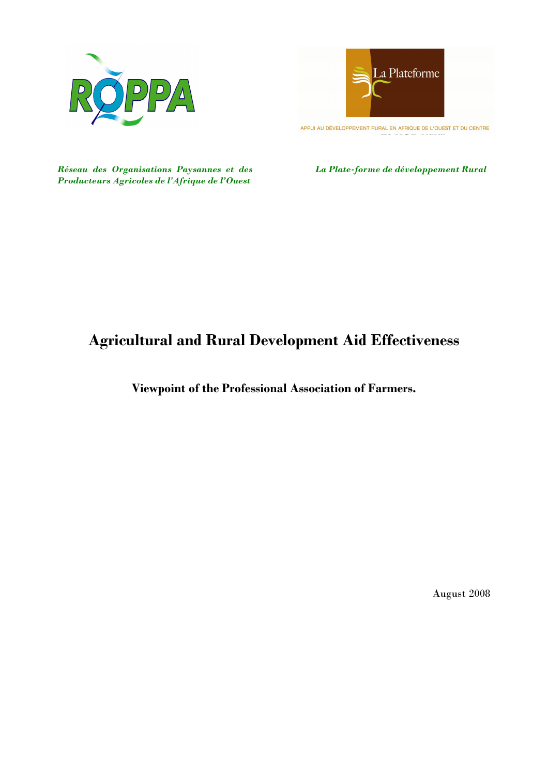



APPUI AU DÉVELOPPEMENT RURAL EN AFRIQUE DE L'OUEST ET DU CENTRE

Réseau des Organisations Paysannes et des Producteurs Agricoles de l'Afrique de l'Ouest

La Plate-forme de développement Rural

# Agricultural and Rural Development Aid Effectiveness

Viewpoint of the Professional Association of Farmers.

August 2008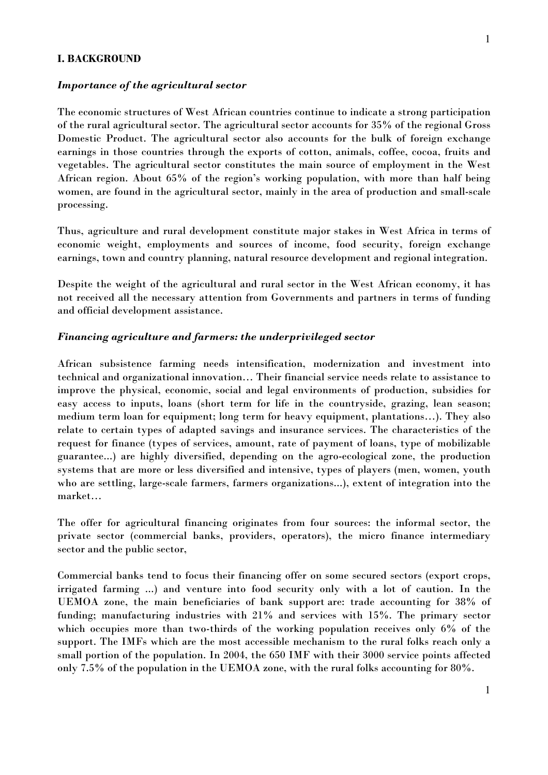#### I. BACKGROUND

#### Importance of the agricultural sector

The economic structures of West African countries continue to indicate a strong participation of the rural agricultural sector. The agricultural sector accounts for 35% of the regional Gross Domestic Product. The agricultural sector also accounts for the bulk of foreign exchange earnings in those countries through the exports of cotton, animals, coffee, cocoa, fruits and vegetables. The agricultural sector constitutes the main source of employment in the West African region. About 65% of the region's working population, with more than half being women, are found in the agricultural sector, mainly in the area of production and small-scale processing.

Thus, agriculture and rural development constitute major stakes in West Africa in terms of economic weight, employments and sources of income, food security, foreign exchange earnings, town and country planning, natural resource development and regional integration.

Despite the weight of the agricultural and rural sector in the West African economy, it has not received all the necessary attention from Governments and partners in terms of funding and official development assistance.

#### Financing agriculture and farmers: the underprivileged sector

African subsistence farming needs intensification, modernization and investment into technical and organizational innovation… Their financial service needs relate to assistance to improve the physical, economic, social and legal environments of production, subsidies for easy access to inputs, loans (short term for life in the countryside, grazing, lean season; medium term loan for equipment; long term for heavy equipment, plantations…). They also relate to certain types of adapted savings and insurance services. The characteristics of the request for finance (types of services, amount, rate of payment of loans, type of mobilizable guarantee...) are highly diversified, depending on the agro-ecological zone, the production systems that are more or less diversified and intensive, types of players (men, women, youth who are settling, large-scale farmers, farmers organizations...), extent of integration into the market…

The offer for agricultural financing originates from four sources: the informal sector, the private sector (commercial banks, providers, operators), the micro finance intermediary sector and the public sector,

Commercial banks tend to focus their financing offer on some secured sectors (export crops, irrigated farming ...) and venture into food security only with a lot of caution. In the UEMOA zone, the main beneficiaries of bank support are: trade accounting for 38% of funding; manufacturing industries with 21% and services with 15%. The primary sector which occupies more than two-thirds of the working population receives only 6% of the support. The IMFs which are the most accessible mechanism to the rural folks reach only a small portion of the population. In 2004, the 650 IMF with their 3000 service points affected only 7.5% of the population in the UEMOA zone, with the rural folks accounting for 80%.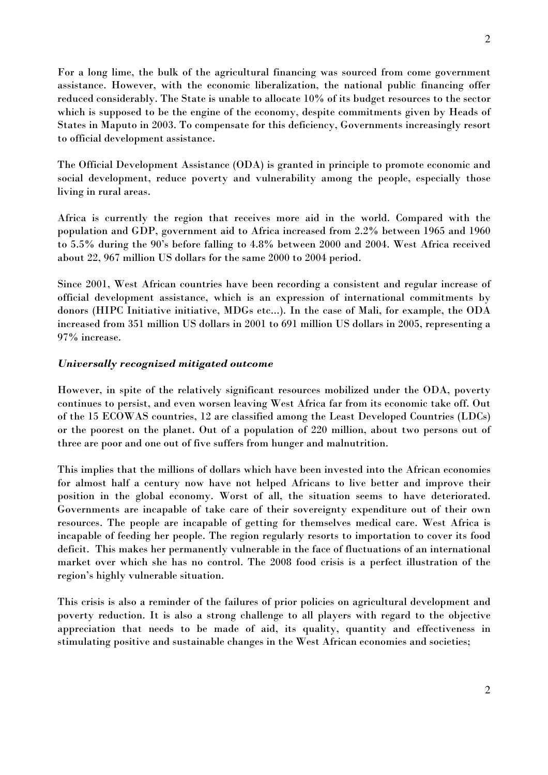For a long lime, the bulk of the agricultural financing was sourced from come government assistance. However, with the economic liberalization, the national public financing offer reduced considerably. The State is unable to allocate 10% of its budget resources to the sector which is supposed to be the engine of the economy, despite commitments given by Heads of States in Maputo in 2003. To compensate for this deficiency, Governments increasingly resort to official development assistance.

The Official Development Assistance (ODA) is granted in principle to promote economic and social development, reduce poverty and vulnerability among the people, especially those living in rural areas.

Africa is currently the region that receives more aid in the world. Compared with the population and GDP, government aid to Africa increased from 2.2% between 1965 and 1960 to 5.5% during the 90's before falling to 4.8% between 2000 and 2004. West Africa received about 22, 967 million US dollars for the same 2000 to 2004 period.

Since 2001, West African countries have been recording a consistent and regular increase of official development assistance, which is an expression of international commitments by donors (HIPC Initiative initiative, MDGs etc...). In the case of Mali, for example, the ODA increased from 351 million US dollars in 2001 to 691 million US dollars in 2005, representing a 97% increase.

## Universally recognized mitigated outcome

However, in spite of the relatively significant resources mobilized under the ODA, poverty continues to persist, and even worsen leaving West Africa far from its economic take off. Out of the 15 ECOWAS countries, 12 are classified among the Least Developed Countries (LDCs) or the poorest on the planet. Out of a population of 220 million, about two persons out of three are poor and one out of five suffers from hunger and malnutrition.

This implies that the millions of dollars which have been invested into the African economies for almost half a century now have not helped Africans to live better and improve their position in the global economy. Worst of all, the situation seems to have deteriorated. Governments are incapable of take care of their sovereignty expenditure out of their own resources. The people are incapable of getting for themselves medical care. West Africa is incapable of feeding her people. The region regularly resorts to importation to cover its food deficit. This makes her permanently vulnerable in the face of fluctuations of an international market over which she has no control. The 2008 food crisis is a perfect illustration of the region's highly vulnerable situation.

This crisis is also a reminder of the failures of prior policies on agricultural development and poverty reduction. It is also a strong challenge to all players with regard to the objective appreciation that needs to be made of aid, its quality, quantity and effectiveness in stimulating positive and sustainable changes in the West African economies and societies;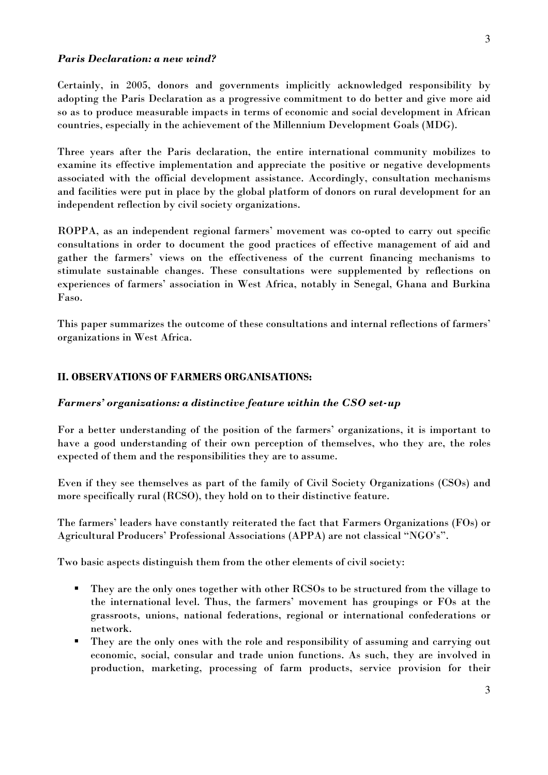### Paris Declaration: a new wind?

Certainly, in 2005, donors and governments implicitly acknowledged responsibility by adopting the Paris Declaration as a progressive commitment to do better and give more aid so as to produce measurable impacts in terms of economic and social development in African countries, especially in the achievement of the Millennium Development Goals (MDG).

Three years after the Paris declaration, the entire international community mobilizes to examine its effective implementation and appreciate the positive or negative developments associated with the official development assistance. Accordingly, consultation mechanisms and facilities were put in place by the global platform of donors on rural development for an independent reflection by civil society organizations.

ROPPA, as an independent regional farmers' movement was co-opted to carry out specific consultations in order to document the good practices of effective management of aid and gather the farmers' views on the effectiveness of the current financing mechanisms to stimulate sustainable changes. These consultations were supplemented by reflections on experiences of farmers' association in West Africa, notably in Senegal, Ghana and Burkina Faso.

This paper summarizes the outcome of these consultations and internal reflections of farmers' organizations in West Africa.

### II. OBSERVATIONS OF FARMERS ORGANISATIONS:

### Farmers' organizations: a distinctive feature within the CSO set-up

For a better understanding of the position of the farmers' organizations, it is important to have a good understanding of their own perception of themselves, who they are, the roles expected of them and the responsibilities they are to assume.

Even if they see themselves as part of the family of Civil Society Organizations (CSOs) and more specifically rural (RCSO), they hold on to their distinctive feature.

The farmers' leaders have constantly reiterated the fact that Farmers Organizations (FOs) or Agricultural Producers' Professional Associations (APPA) are not classical "NGO's".

Two basic aspects distinguish them from the other elements of civil society:

- They are the only ones together with other RCSOs to be structured from the village to the international level. Thus, the farmers' movement has groupings or FOs at the grassroots, unions, national federations, regional or international confederations or network.
- They are the only ones with the role and responsibility of assuming and carrying out economic, social, consular and trade union functions. As such, they are involved in production, marketing, processing of farm products, service provision for their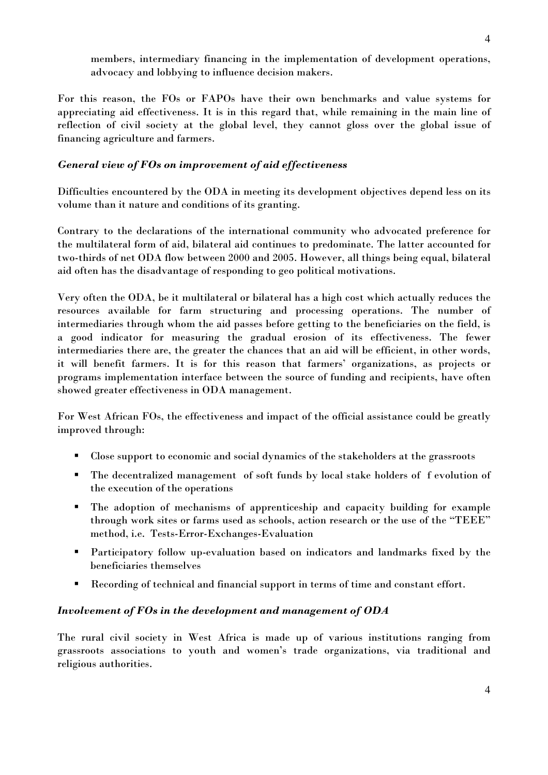members, intermediary financing in the implementation of development operations, advocacy and lobbying to influence decision makers.

For this reason, the FOs or FAPOs have their own benchmarks and value systems for appreciating aid effectiveness. It is in this regard that, while remaining in the main line of reflection of civil society at the global level, they cannot gloss over the global issue of financing agriculture and farmers.

## General view of FOs on improvement of aid effectiveness

Difficulties encountered by the ODA in meeting its development objectives depend less on its volume than it nature and conditions of its granting.

Contrary to the declarations of the international community who advocated preference for the multilateral form of aid, bilateral aid continues to predominate. The latter accounted for two-thirds of net ODA flow between 2000 and 2005. However, all things being equal, bilateral aid often has the disadvantage of responding to geo political motivations.

Very often the ODA, be it multilateral or bilateral has a high cost which actually reduces the resources available for farm structuring and processing operations. The number of intermediaries through whom the aid passes before getting to the beneficiaries on the field, is a good indicator for measuring the gradual erosion of its effectiveness. The fewer intermediaries there are, the greater the chances that an aid will be efficient, in other words, it will benefit farmers. It is for this reason that farmers' organizations, as projects or programs implementation interface between the source of funding and recipients, have often showed greater effectiveness in ODA management.

For West African FOs, the effectiveness and impact of the official assistance could be greatly improved through:

- Close support to economic and social dynamics of the stakeholders at the grassroots
- The decentralized management of soft funds by local stake holders of f evolution of the execution of the operations
- The adoption of mechanisms of apprenticeship and capacity building for example through work sites or farms used as schools, action research or the use of the "TEEE" method, i.e. Tests-Error-Exchanges-Evaluation
- Participatory follow up-evaluation based on indicators and landmarks fixed by the beneficiaries themselves
- Recording of technical and financial support in terms of time and constant effort.

## Involvement of FOs in the development and management of ODA

The rural civil society in West Africa is made up of various institutions ranging from grassroots associations to youth and women's trade organizations, via traditional and religious authorities.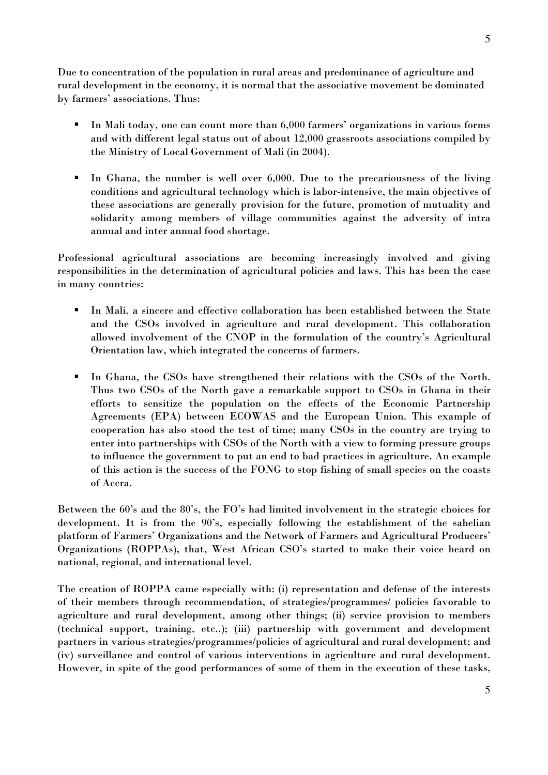Due to concentration of the population in rural areas and predominance of agriculture and rural development in the economy, it is normal that the associative movement be dominated by farmers' associations. Thus:

- In Mali today, one can count more than 6,000 farmers' organizations in various forms and with different legal status out of about 12,000 grassroots associations compiled by the Ministry of Local Government of Mali (in 2004).
- In Ghana, the number is well over 6,000. Due to the precariousness of the living conditions and agricultural technology which is labor-intensive, the main objectives of these associations are generally provision for the future, promotion of mutuality and solidarity among members of village communities against the adversity of intra annual and inter annual food shortage.

Professional agricultural associations are becoming increasingly involved and giving responsibilities in the determination of agricultural policies and laws. This has been the case in many countries:

- In Mali, a sincere and effective collaboration has been established between the State and the CSOs involved in agriculture and rural development. This collaboration allowed involvement of the CNOP in the formulation of the country's Agricultural Orientation law, which integrated the concerns of farmers.
- In Ghana, the CSOs have strengthened their relations with the CSOs of the North. Thus two CSOs of the North gave a remarkable support to CSOs in Ghana in their efforts to sensitize the population on the effects of the Economic Partnership Agreements (EPA) between ECOWAS and the European Union. This example of cooperation has also stood the test of time; many CSOs in the country are trying to enter into partnerships with CSOs of the North with a view to forming pressure groups to influence the government to put an end to bad practices in agriculture. An example of this action is the success of the FONG to stop fishing of small species on the coasts of Accra.

Between the 60's and the 80's, the FO's had limited involvement in the strategic choices for development. It is from the 90's, especially following the establishment of the sahelian platform of Farmers' Organizations and the Network of Farmers and Agricultural Producers' Organizations (ROPPAs), that, West African CSO's started to make their voice heard on national, regional, and international level.

The creation of ROPPA came especially with: (i) representation and defense of the interests of their members through recommendation, of strategies/programmes/ policies favorable to agriculture and rural development, among other things; (ii) service provision to members (technical support, training, etc..); (iii) partnership with government and development partners in various strategies/programmes/policies of agricultural and rural development; and (iv) surveillance and control of various interventions in agriculture and rural development. However, in spite of the good performances of some of them in the execution of these tasks,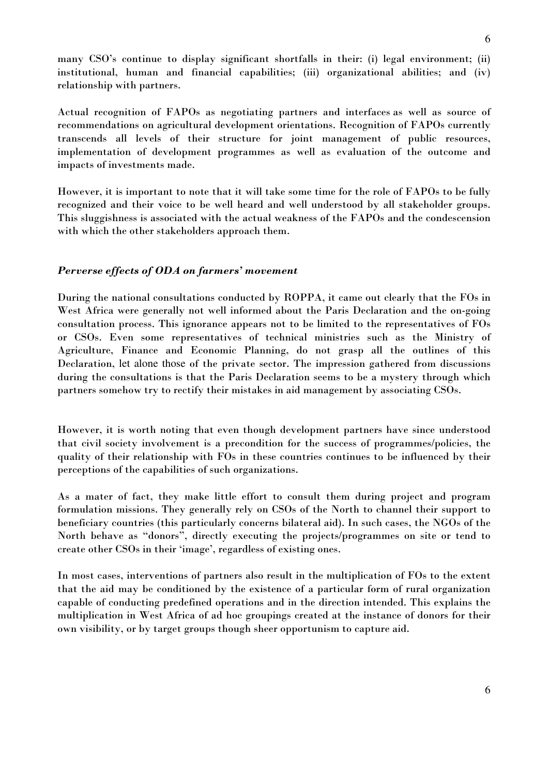many CSO's continue to display significant shortfalls in their: (i) legal environment; (ii) institutional, human and financial capabilities; (iii) organizational abilities; and (iv) relationship with partners.

Actual recognition of FAPOs as negotiating partners and interfaces as well as source of recommendations on agricultural development orientations. Recognition of FAPOs currently transcends all levels of their structure for joint management of public resources, implementation of development programmes as well as evaluation of the outcome and impacts of investments made.

However, it is important to note that it will take some time for the role of FAPOs to be fully recognized and their voice to be well heard and well understood by all stakeholder groups. This sluggishness is associated with the actual weakness of the FAPOs and the condescension with which the other stakeholders approach them.

#### Perverse effects of ODA on farmers' movement

During the national consultations conducted by ROPPA, it came out clearly that the FOs in West Africa were generally not well informed about the Paris Declaration and the on-going consultation process. This ignorance appears not to be limited to the representatives of FOs or CSOs. Even some representatives of technical ministries such as the Ministry of Agriculture, Finance and Economic Planning, do not grasp all the outlines of this Declaration, let alone those of the private sector. The impression gathered from discussions during the consultations is that the Paris Declaration seems to be a mystery through which partners somehow try to rectify their mistakes in aid management by associating CSOs.

However, it is worth noting that even though development partners have since understood that civil society involvement is a precondition for the success of programmes/policies, the quality of their relationship with FOs in these countries continues to be influenced by their perceptions of the capabilities of such organizations.

As a mater of fact, they make little effort to consult them during project and program formulation missions. They generally rely on CSOs of the North to channel their support to beneficiary countries (this particularly concerns bilateral aid). In such cases, the NGOs of the North behave as "donors", directly executing the projects/programmes on site or tend to create other CSOs in their 'image', regardless of existing ones.

In most cases, interventions of partners also result in the multiplication of FOs to the extent that the aid may be conditioned by the existence of a particular form of rural organization capable of conducting predefined operations and in the direction intended. This explains the multiplication in West Africa of ad hoc groupings created at the instance of donors for their own visibility, or by target groups though sheer opportunism to capture aid.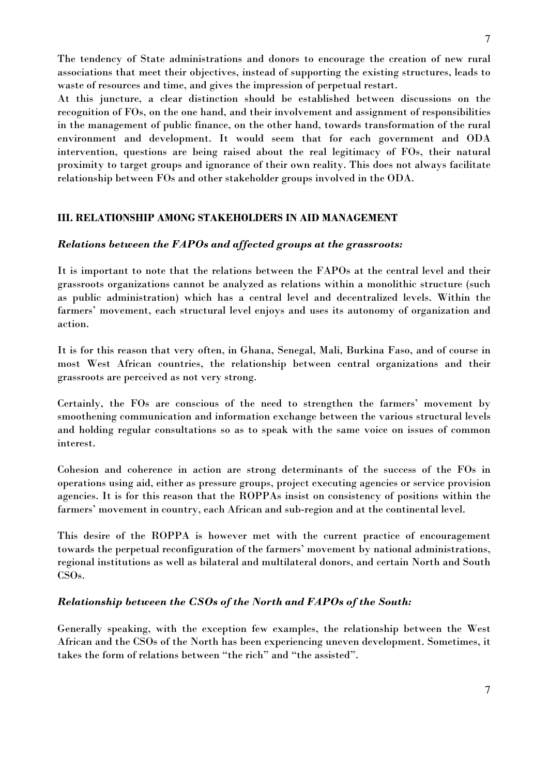The tendency of State administrations and donors to encourage the creation of new rural associations that meet their objectives, instead of supporting the existing structures, leads to waste of resources and time, and gives the impression of perpetual restart.

At this juncture, a clear distinction should be established between discussions on the recognition of FOs, on the one hand, and their involvement and assignment of responsibilities in the management of public finance, on the other hand, towards transformation of the rural environment and development. It would seem that for each government and ODA intervention, questions are being raised about the real legitimacy of FOs, their natural proximity to target groups and ignorance of their own reality. This does not always facilitate relationship between FOs and other stakeholder groups involved in the ODA.

# III. RELATIONSHIP AMONG STAKEHOLDERS IN AID MANAGEMENT

# Relations between the FAPOs and affected groups at the grassroots:

It is important to note that the relations between the FAPOs at the central level and their grassroots organizations cannot be analyzed as relations within a monolithic structure (such as public administration) which has a central level and decentralized levels. Within the farmers' movement, each structural level enjoys and uses its autonomy of organization and action.

It is for this reason that very often, in Ghana, Senegal, Mali, Burkina Faso, and of course in most West African countries, the relationship between central organizations and their grassroots are perceived as not very strong.

Certainly, the FOs are conscious of the need to strengthen the farmers' movement by smoothening communication and information exchange between the various structural levels and holding regular consultations so as to speak with the same voice on issues of common interest.

Cohesion and coherence in action are strong determinants of the success of the FOs in operations using aid, either as pressure groups, project executing agencies or service provision agencies. It is for this reason that the ROPPAs insist on consistency of positions within the farmers' movement in country, each African and sub-region and at the continental level.

This desire of the ROPPA is however met with the current practice of encouragement towards the perpetual reconfiguration of the farmers' movement by national administrations, regional institutions as well as bilateral and multilateral donors, and certain North and South CSOs.

# Relationship between the CSOs of the North and FAPOs of the South:

Generally speaking, with the exception few examples, the relationship between the West African and the CSOs of the North has been experiencing uneven development. Sometimes, it takes the form of relations between "the rich" and "the assisted".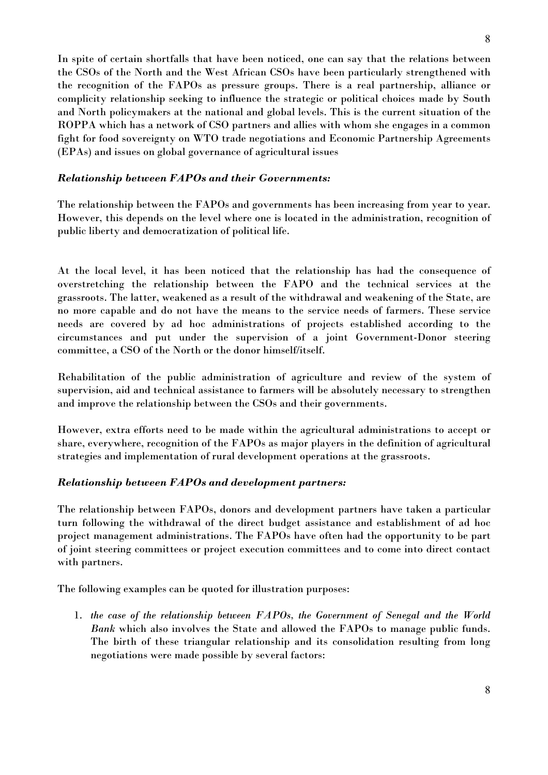In spite of certain shortfalls that have been noticed, one can say that the relations between the CSOs of the North and the West African CSOs have been particularly strengthened with the recognition of the FAPOs as pressure groups. There is a real partnership, alliance or complicity relationship seeking to influence the strategic or political choices made by South and North policymakers at the national and global levels. This is the current situation of the ROPPA which has a network of CSO partners and allies with whom she engages in a common fight for food sovereignty on WTO trade negotiations and Economic Partnership Agreements (EPAs) and issues on global governance of agricultural issues

## Relationship between FAPOs and their Governments:

The relationship between the FAPOs and governments has been increasing from year to year. However, this depends on the level where one is located in the administration, recognition of public liberty and democratization of political life.

At the local level, it has been noticed that the relationship has had the consequence of overstretching the relationship between the FAPO and the technical services at the grassroots. The latter, weakened as a result of the withdrawal and weakening of the State, are no more capable and do not have the means to the service needs of farmers. These service needs are covered by ad hoc administrations of projects established according to the circumstances and put under the supervision of a joint Government-Donor steering committee, a CSO of the North or the donor himself/itself.

Rehabilitation of the public administration of agriculture and review of the system of supervision, aid and technical assistance to farmers will be absolutely necessary to strengthen and improve the relationship between the CSOs and their governments.

However, extra efforts need to be made within the agricultural administrations to accept or share, everywhere, recognition of the FAPOs as major players in the definition of agricultural strategies and implementation of rural development operations at the grassroots.

# Relationship between FAPOs and development partners:

The relationship between FAPOs, donors and development partners have taken a particular turn following the withdrawal of the direct budget assistance and establishment of ad hoc project management administrations. The FAPOs have often had the opportunity to be part of joint steering committees or project execution committees and to come into direct contact with partners.

The following examples can be quoted for illustration purposes:

1. the case of the relationship between FAPOs, the Government of Senegal and the World Bank which also involves the State and allowed the FAPOs to manage public funds. The birth of these triangular relationship and its consolidation resulting from long negotiations were made possible by several factors: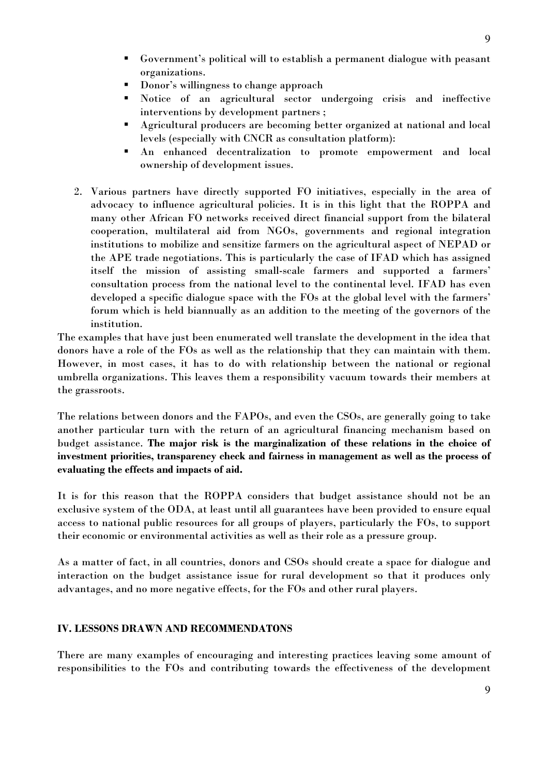- Government's political will to establish a permanent dialogue with peasant organizations.
- **Donor's willingness to change approach**
- Notice of an agricultural sector undergoing crisis and ineffective interventions by development partners ;
- Agricultural producers are becoming better organized at national and local levels (especially with CNCR as consultation platform):
- An enhanced decentralization to promote empowerment and local ownership of development issues.
- 2. Various partners have directly supported FO initiatives, especially in the area of advocacy to influence agricultural policies. It is in this light that the ROPPA and many other African FO networks received direct financial support from the bilateral cooperation, multilateral aid from NGOs, governments and regional integration institutions to mobilize and sensitize farmers on the agricultural aspect of NEPAD or the APE trade negotiations. This is particularly the case of IFAD which has assigned itself the mission of assisting small-scale farmers and supported a farmers' consultation process from the national level to the continental level. IFAD has even developed a specific dialogue space with the FOs at the global level with the farmers' forum which is held biannually as an addition to the meeting of the governors of the institution.

The examples that have just been enumerated well translate the development in the idea that donors have a role of the FOs as well as the relationship that they can maintain with them. However, in most cases, it has to do with relationship between the national or regional umbrella organizations. This leaves them a responsibility vacuum towards their members at the grassroots.

The relations between donors and the FAPOs, and even the CSOs, are generally going to take another particular turn with the return of an agricultural financing mechanism based on budget assistance. The major risk is the marginalization of these relations in the choice of investment priorities, transparency check and fairness in management as well as the process of evaluating the effects and impacts of aid.

It is for this reason that the ROPPA considers that budget assistance should not be an exclusive system of the ODA, at least until all guarantees have been provided to ensure equal access to national public resources for all groups of players, particularly the FOs, to support their economic or environmental activities as well as their role as a pressure group.

As a matter of fact, in all countries, donors and CSOs should create a space for dialogue and interaction on the budget assistance issue for rural development so that it produces only advantages, and no more negative effects, for the FOs and other rural players.

### IV. LESSONS DRAWN AND RECOMMENDATONS

There are many examples of encouraging and interesting practices leaving some amount of responsibilities to the FOs and contributing towards the effectiveness of the development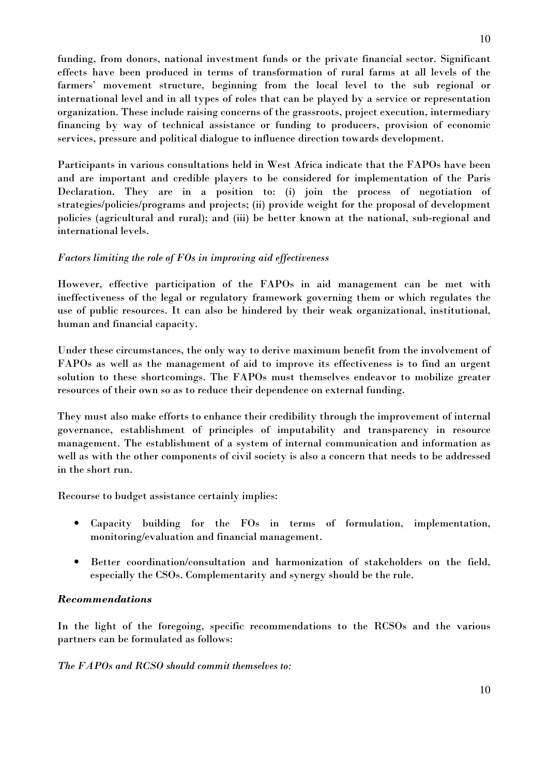funding, from donors, national investment funds or the private financial sector. Significant effects have been produced in terms of transformation of rural farms at all levels of the farmers' movement structure, beginning from the local level to the sub regional or international level and in all types of roles that can be played by a service or representation organization. These include raising concerns of the grassroots, project execution, intermediary financing by way of technical assistance or funding to producers, provision of economic services, pressure and political dialogue to influence direction towards development.

Participants in various consultations held in West Africa indicate that the FAPOs have been and are important and credible players to be considered for implementation of the Paris Declaration. They are in a position to: (i) join the process of negotiation of strategies/policies/programs and projects; (ii) provide weight for the proposal of development policies (agricultural and rural); and (iii) be better known at the national, sub-regional and international levels.

## Factors limiting the role of FOs in improving aid effectiveness

However, effective participation of the FAPOs in aid management can be met with ineffectiveness of the legal or regulatory framework governing them or which regulates the use of public resources. It can also be hindered by their weak organizational, institutional, human and financial capacity.

Under these circumstances, the only way to derive maximum benefit from the involvement of FAPOs as well as the management of aid to improve its effectiveness is to find an urgent solution to these shortcomings. The FAPOs must themselves endeavor to mobilize greater resources of their own so as to reduce their dependence on external funding.

They must also make efforts to enhance their credibility through the improvement of internal governance, establishment of principles of imputability and transparency in resource management. The establishment of a system of internal communication and information as well as with the other components of civil society is also a concern that needs to be addressed in the short run.

Recourse to budget assistance certainly implies:

- Capacity building for the FOs in terms of formulation, implementation, monitoring/evaluation and financial management.
- Better coordination/consultation and harmonization of stakeholders on the field, especially the CSOs. Complementarity and synergy should be the rule.

## Recommendations

In the light of the foregoing, specific recommendations to the RCSOs and the various partners can be formulated as follows:

The FAPOs and RCSO should commit themselves to: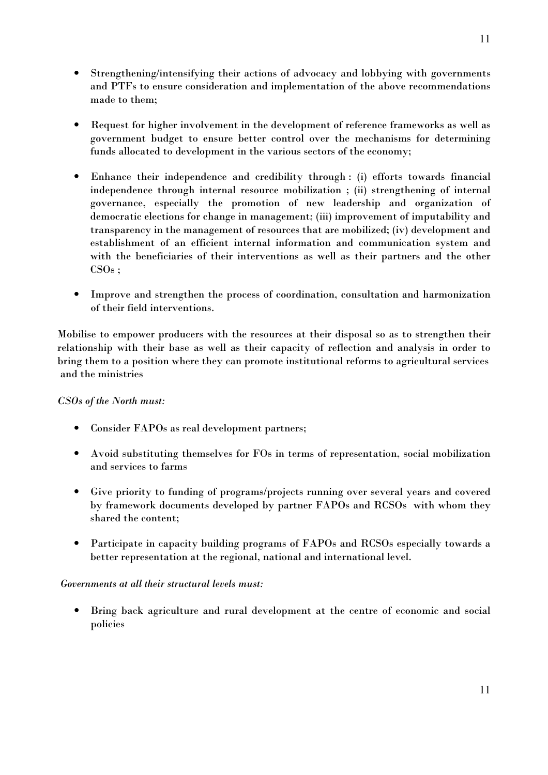- Strengthening/intensifying their actions of advocacy and lobbying with governments and PTFs to ensure consideration and implementation of the above recommendations made to them;
- Request for higher involvement in the development of reference frameworks as well as government budget to ensure better control over the mechanisms for determining funds allocated to development in the various sectors of the economy;
- Enhance their independence and credibility through : (i) efforts towards financial independence through internal resource mobilization ; (ii) strengthening of internal governance, especially the promotion of new leadership and organization of democratic elections for change in management; (iii) improvement of imputability and transparency in the management of resources that are mobilized; (iv) development and establishment of an efficient internal information and communication system and with the beneficiaries of their interventions as well as their partners and the other  $CSOs:$
- Improve and strengthen the process of coordination, consultation and harmonization of their field interventions.

Mobilise to empower producers with the resources at their disposal so as to strengthen their relationship with their base as well as their capacity of reflection and analysis in order to bring them to a position where they can promote institutional reforms to agricultural services and the ministries

# CSOs of the North must:

- Consider FAPOs as real development partners;
- Avoid substituting themselves for FOs in terms of representation, social mobilization and services to farms
- Give priority to funding of programs/projects running over several years and covered by framework documents developed by partner FAPOs and RCSOs with whom they shared the content;
- Participate in capacity building programs of FAPOs and RCSOs especially towards a better representation at the regional, national and international level.

## Governments at all their structural levels must:

• Bring back agriculture and rural development at the centre of economic and social policies